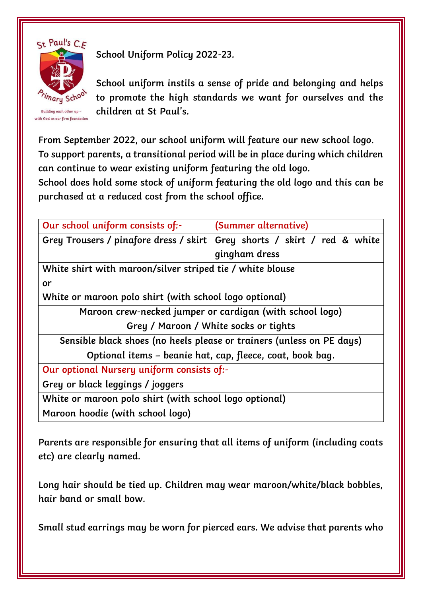

Building each other up with God as our firm foundation **School Uniform Policy 2022-23.** 

**School uniform instils a sense of pride and belonging and helps to promote the high standards we want for ourselves and the children at St Paul's.** 

**From September 2022, our school uniform will feature our new school logo. To support parents, a transitional period will be in place during which children can continue to wear existing uniform featuring the old logo.** 

**School does hold some stock of uniform featuring the old logo and this can be purchased at a reduced cost from the school office.** 

| Our school uniform consists of:-                                      | (Summer alternative)              |
|-----------------------------------------------------------------------|-----------------------------------|
| Grey Trousers / pinafore dress / skirt                                | Grey shorts / skirt / red & white |
|                                                                       | gingham dress                     |
| White shirt with maroon/silver striped tie / white blouse             |                                   |
| or                                                                    |                                   |
| White or maroon polo shirt (with school logo optional)                |                                   |
| Maroon crew-necked jumper or cardigan (with school logo)              |                                   |
| Grey / Maroon / White socks or tights                                 |                                   |
| Sensible black shoes (no heels please or trainers (unless on PE days) |                                   |
| Optional items – beanie hat, cap, fleece, coat, book bag.             |                                   |
| Our optional Nursery uniform consists of:-                            |                                   |
| Grey or black leggings / joggers                                      |                                   |
| White or maroon polo shirt (with school logo optional)                |                                   |
| Maroon hoodie (with school logo)                                      |                                   |

**Parents are responsible for ensuring that all items of uniform (including coats etc) are clearly named.** 

**Long hair should be tied up. Children may wear maroon/white/black bobbles, hair band or small bow.** 

**Small stud earrings may be worn for pierced ears. We advise that parents who**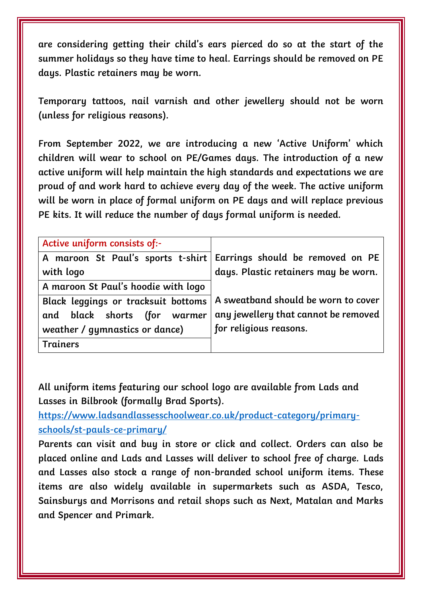**are considering getting their child's ears pierced do so at the start of the summer holidays so they have time to heal. Earrings should be removed on PE days. Plastic retainers may be worn.** 

**Temporary tattoos, nail varnish and other jewellery should not be worn (unless for religious reasons).** 

**From September 2022, we are introducing a new 'Active Uniform' which children will wear to school on PE/Games days. The introduction of a new active uniform will help maintain the high standards and expectations we are proud of and work hard to achieve every day of the week. The active uniform will be worn in place of formal uniform on PE days and will replace previous PE kits. It will reduce the number of days formal uniform is needed.** 

| Active uniform consists of:-        |                                                                      |
|-------------------------------------|----------------------------------------------------------------------|
|                                     | A maroon St Paul's sports t-shirt   Earrings should be removed on PE |
| with logo                           | days. Plastic retainers may be worn.                                 |
| A maroon St Paul's hoodie with logo |                                                                      |
| Black leggings or tracksuit bottoms | A sweatband should be worn to cover                                  |
| and black shorts (for warmer        | any jewellery that cannot be removed                                 |
| weather / gymnastics or dance)      | for religious reasons.                                               |
| <b>Trainers</b>                     |                                                                      |

**All uniform items featuring our school logo are available from Lads and Lasses in Bilbrook (formally Brad Sports).**

**[https://www.ladsandlassesschoolwear.co.uk/product-category/primary](https://www.ladsandlassesschoolwear.co.uk/product-category/primary-schools/st-pauls-ce-primary/)[schools/st-pauls-ce-primary/](https://www.ladsandlassesschoolwear.co.uk/product-category/primary-schools/st-pauls-ce-primary/)**

**Parents can visit and buy in store or click and collect. Orders can also be placed online and Lads and Lasses will deliver to school free of charge. Lads and Lasses also stock a range of non-branded school uniform items. These items are also widely available in supermarkets such as ASDA, Tesco, Sainsburys and Morrisons and retail shops such as Next, Matalan and Marks and Spencer and Primark.**